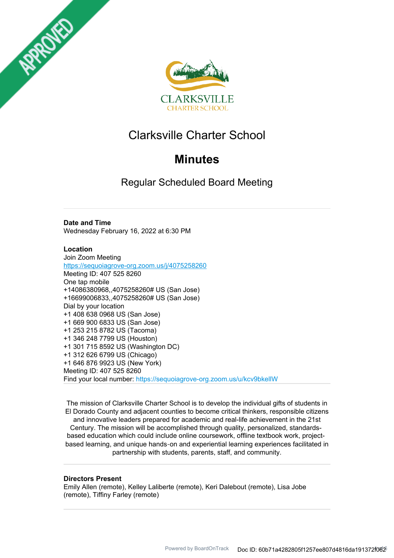



# Clarksville Charter School

# **Minutes**

Regular Scheduled Board Meeting

# **Date and Time**

Wednesday February 16, 2022 at 6:30 PM

# **Location**

Join Zoom Meeting https://sequoiagrove-org.zoom.us/j/4075258260 Meeting ID: 407 525 8260 One tap mobile +14086380968,,4075258260# US (San Jose) +16699006833,,4075258260# US (San Jose) Dial by your location +1 408 638 0968 US (San Jose) +1 669 900 6833 US (San Jose) +1 253 215 8782 US (Tacoma) +1 346 248 7799 US (Houston) +1 301 715 8592 US (Washington DC) +1 312 626 6799 US (Chicago) +1 646 876 9923 US (New York) Meeting ID: 407 525 8260 Find your local number: https://sequoiagrove-org.zoom.us/u/kcv9bkellW

The mission of Clarksville Charter School is to develop the individual gifts of students in El Dorado County and adjacent counties to become critical thinkers, responsible citizens and innovative leaders prepared for academic and real-life achievement in the 21st Century. The mission will be accomplished through quality, personalized, standardsbased education which could include online coursework, offline textbook work, projectbased learning, and unique hands‐on and experiential learning experiences facilitated in partnership with students, parents, staff, and community.

# **Directors Present**

Emily Allen (remote), Kelley Laliberte (remote), Keri Dalebout (remote), Lisa Jobe (remote), Tiffiny Farley (remote)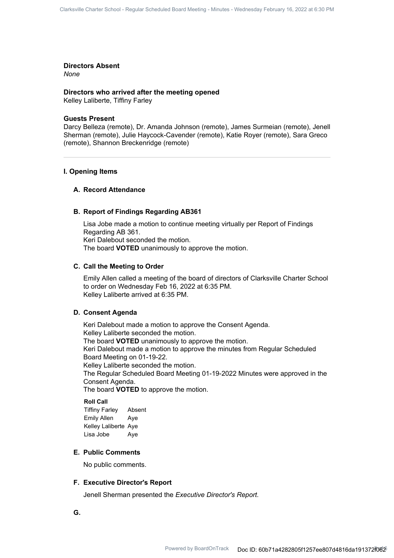# **Directors Absent**

*None*

### **Directors who arrived after the meeting opened**

Kelley Laliberte, Tiffiny Farley

### **Guests Present**

Darcy Belleza (remote), Dr. Amanda Johnson (remote), James Surmeian (remote), Jenell Sherman (remote), Julie Haycock-Cavender (remote), Katie Royer (remote), Sara Greco (remote), Shannon Breckenridge (remote)

# **I. Opening Items**

# **A. Record Attendance**

### **B. Report of Findings Regarding AB361**

Lisa Jobe made a motion to continue meeting virtually per Report of Findings Regarding AB 361. Keri Dalebout seconded the motion. The board **VOTED** unanimously to approve the motion.

### **C. Call the Meeting to Order**

Emily Allen called a meeting of the board of directors of Clarksville Charter School to order on Wednesday Feb 16, 2022 at 6:35 PM. Kelley Laliberte arrived at 6:35 PM.

# **D. Consent Agenda**

Keri Dalebout made a motion to approve the Consent Agenda. Kelley Laliberte seconded the motion. The board **VOTED** unanimously to approve the motion. Keri Dalebout made a motion to approve the minutes from Regular Scheduled Board Meeting on 01-19-22. Kelley Laliberte seconded the motion. The Regular Scheduled Board Meeting 01-19-2022 Minutes were approved in the Consent Agenda. The board **VOTED** to approve the motion.

### **Roll Call**

Tiffiny Farley Absent Emily Allen Aye Kelley Laliberte Aye Lisa Jobe Aye

### **E. Public Comments**

No public comments.

### **F. Executive Director's Report**

Jenell Sherman presented the *Executive Director's Report.*

**G.**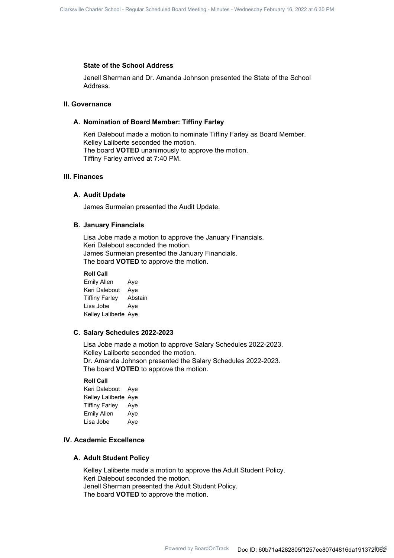# **State of the School Address**

Jenell Sherman and Dr. Amanda Johnson presented the State of the School Address.

# **II. Governance**

## **A. Nomination of Board Member: Tiffiny Farley**

Keri Dalebout made a motion to nominate Tiffiny Farley as Board Member. Kelley Laliberte seconded the motion. The board **VOTED** unanimously to approve the motion. Tiffiny Farley arrived at 7:40 PM.

# **III. Finances**

# **A. Audit Update**

James Surmeian presented the Audit Update.

## **B. January Financials**

Lisa Jobe made a motion to approve the January Financials. Keri Dalebout seconded the motion. James Surmeian presented the January Financials. The board **VOTED** to approve the motion.

# **Roll Call**

Emily Allen Aye Keri Dalebout Aye Tiffiny Farley Abstain Lisa Jobe Aye Kelley Laliberte Aye

### **C. Salary Schedules 2022-2023**

Lisa Jobe made a motion to approve Salary Schedules 2022-2023. Kelley Laliberte seconded the motion. Dr. Amanda Johnson presented the Salary Schedules 2022-2023. The board **VOTED** to approve the motion.

# **Roll Call**

Keri Dalebout Aye Kelley Laliberte Aye Tiffiny Farley Aye Emily Allen Aye Lisa Jobe Aye

# **IV. Academic Excellence**

### **A. Adult Student Policy**

Kelley Laliberte made a motion to approve the Adult Student Policy. Keri Dalebout seconded the motion. Jenell Sherman presented the Adult Student Policy. The board **VOTED** to approve the motion.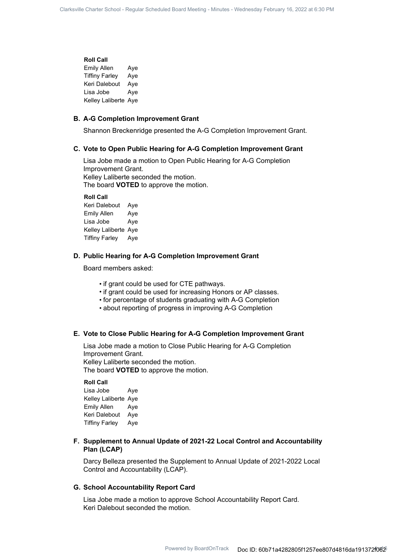**Roll Call** Emily Allen Aye Tiffiny Farley Aye Keri Dalebout Aye Lisa Jobe Aye Kelley Laliberte Aye

### **B. A-G Completion Improvement Grant**

Shannon Breckenridge presented the A-G Completion Improvement Grant.

### **C. Vote to Open Public Hearing for A-G Completion Improvement Grant**

Lisa Jobe made a motion to Open Public Hearing for A-G Completion Improvement Grant. Kelley Laliberte seconded the motion. The board **VOTED** to approve the motion.

### **Roll Call**

Keri Dalebout Aye Emily Allen Aye Lisa Jobe Aye Kelley Laliberte Aye Tiffiny Farley Aye

### **D. Public Hearing for A-G Completion Improvement Grant**

Board members asked:

- if grant could be used for CTE pathways.
- if grant could be used for increasing Honors or AP classes.
- for percentage of students graduating with A-G Completion
- about reporting of progress in improving A-G Completion

### **E. Vote to Close Public Hearing for A-G Completion Improvement Grant**

Lisa Jobe made a motion to Close Public Hearing for A-G Completion Improvement Grant. Kelley Laliberte seconded the motion. The board **VOTED** to approve the motion.

### **Roll Call**

Lisa Jobe Aye Kelley Laliberte Aye Emily Allen Aye Keri Dalebout Aye Tiffiny Farley Aye

# **Supplement to Annual Update of 2021-22 Local Control and Accountability F. Plan (LCAP)**

Darcy Belleza presented the Supplement to Annual Update of 2021-2022 Local Control and Accountability (LCAP).

#### **G. School Accountability Report Card**

Lisa Jobe made a motion to approve School Accountability Report Card. Keri Dalebout seconded the motion.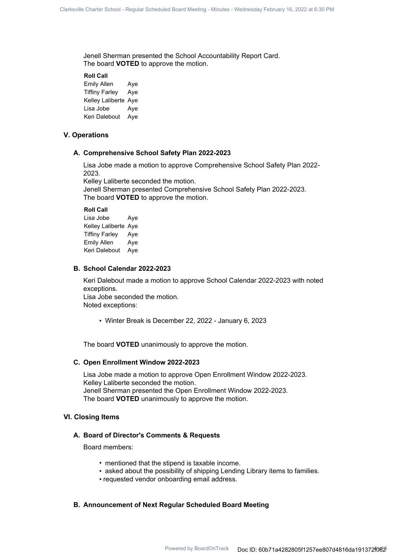Jenell Sherman presented the School Accountability Report Card. The board **VOTED** to approve the motion.

**Roll Call**

Emily Allen Aye Tiffiny Farley Aye Kelley Laliberte Aye Lisa Jobe Aye Keri Dalebout Aye

# **V. Operations**

### **A. Comprehensive School Safety Plan 2022-2023**

Lisa Jobe made a motion to approve Comprehensive School Safety Plan 2022- 2023.

Kelley Laliberte seconded the motion. Jenell Sherman presented Comprehensive School Safety Plan 2022-2023. The board **VOTED** to approve the motion.

### **Roll Call**

Lisa Jobe Aye Kelley Laliberte Aye Tiffiny Farley Aye Emily Allen Aye Keri Dalebout Aye

## **B. School Calendar 2022-2023**

Keri Dalebout made a motion to approve School Calendar 2022-2023 with noted exceptions. Lisa Jobe seconded the motion. Noted exceptions:

• Winter Break is December 22, 2022 - January 6, 2023

The board **VOTED** unanimously to approve the motion.

### **C. Open Enrollment Window 2022-2023**

Lisa Jobe made a motion to approve Open Enrollment Window 2022-2023. Kelley Laliberte seconded the motion. Jenell Sherman presented the Open Enrollment Window 2022-2023. The board **VOTED** unanimously to approve the motion.

# **VI. Closing Items**

### **A. Board of Director's Comments & Requests**

Board members:

- mentioned that the stipend is taxable income.
- asked about the possibility of shipping Lending Library items to families.
- requested vendor onboarding email address.

# **B. Announcement of Next Regular Scheduled Board Meeting**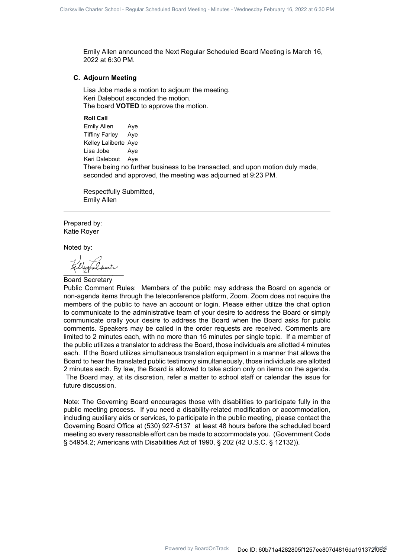Emily Allen announced the Next Regular Scheduled Board Meeting is March 16, 2022 at 6:30 PM.

# **C. Adjourn Meeting**

Lisa Jobe made a motion to adjourn the meeting. Keri Dalebout seconded the motion. The board **VOTED** to approve the motion.

**Roll Call** Emily Allen Aye Tiffiny Farley Aye Kelley Laliberte Aye Lisa Jobe Aye Keri Dalebout Aye There being no further business to be transacted, and upon motion duly made, seconded and approved, the meeting was adjourned at 9:23 PM.

Respectfully Submitted, Emily Allen

Prepared by: Katie Royer

Noted by:

 $Y$  and  $Y$ 

Board Secretary

Public Comment Rules: Members of the public may address the Board on agenda or non-agenda items through the teleconference platform, Zoom. Zoom does not require the members of the public to have an account or login. Please either utilize the chat option to communicate to the administrative team of your desire to address the Board or simply communicate orally your desire to address the Board when the Board asks for public comments. Speakers may be called in the order requests are received. Comments are limited to 2 minutes each, with no more than 15 minutes per single topic. If a member of the public utilizes a translator to address the Board, those individuals are allotted 4 minutes each. If the Board utilizes simultaneous translation equipment in a manner that allows the Board to hear the translated public testimony simultaneously, those individuals are allotted 2 minutes each. By law, the Board is allowed to take action only on items on the agenda. The Board may, at its discretion, refer a matter to school staff or calendar the issue for future discussion.

Note: The Governing Board encourages those with disabilities to participate fully in the public meeting process. If you need a disability-related modification or accommodation, including auxiliary aids or services, to participate in the public meeting, please contact the Governing Board Office at (530) 927-5137 at least 48 hours before the scheduled board meeting so every reasonable effort can be made to accommodate you. (Government Code § 54954.2; Americans with Disabilities Act of 1990, § 202 (42 U.S.C. § 12132)).